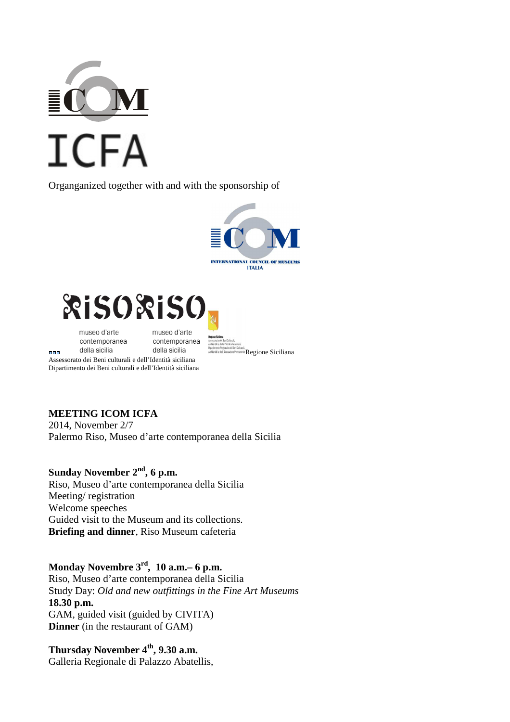

Organganized together with and with the sponsorship of





museo d'arte contemporanea della sicilia

888

museo d'arte contemporanea della sicilia

Regione Siciliana

Assessorato dei Beni culturali e dell'Identità siciliana Dipartimento dei Beni culturali e dell'Identità siciliana

#### **MEETING ICOM ICFA**

2014, November 2/7 Palermo Riso, Museo d'arte contemporanea della Sicilia

# **Sunday November 2nd, 6 p.m.**

Riso, Museo d'arte contemporanea della Sicilia Meeting/ registration Welcome speeches Guided visit to the Museum and its collections. **Briefing and dinner**, Riso Museum cafeteria

### **Monday Novembre 3rd, 10 a.m.– 6 p.m.**

Riso, Museo d'arte contemporanea della Sicilia Study Day: *Old and new outfittings in the Fine Art Museums*  **18.30 p.m.**  GAM, guided visit (guided by CIVITA) **Dinner** (in the restaurant of GAM)

**Thursday November 4th, 9.30 a.m.**  Galleria Regionale di Palazzo Abatellis,